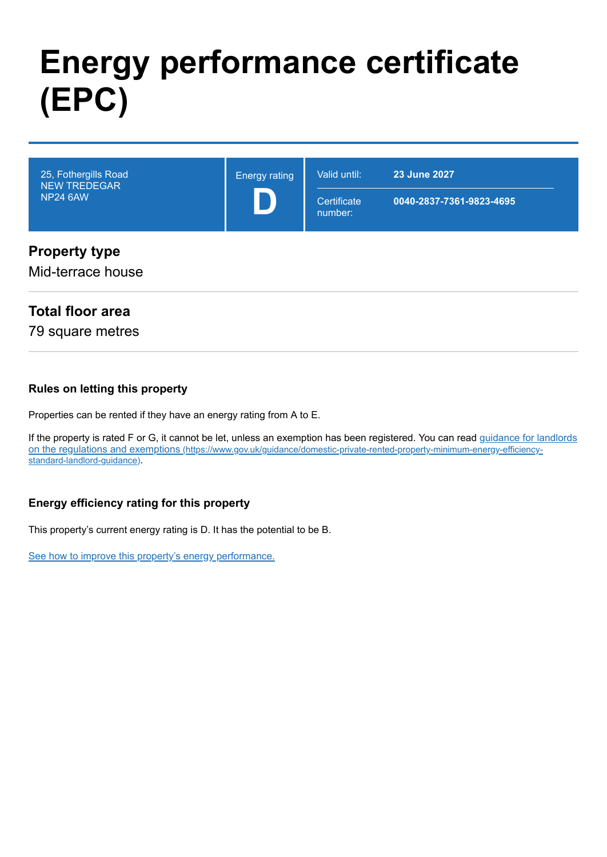# **Energy performance certificate (EPC)**

| 25, Fothergills Road<br><b>NEW TREDEGAR</b><br><b>NP24 6AW</b> | <b>Energy rating</b> | Valid until:<br>Certificate<br>number: | 23 June 2027<br>0040-2837-7361-9823-4695 |
|----------------------------------------------------------------|----------------------|----------------------------------------|------------------------------------------|
| <b>Property type</b><br>Mid-terrace house                      |                      |                                        |                                          |

#### **Total floor area**

79 square metres

#### **Rules on letting this property**

Properties can be rented if they have an energy rating from A to E.

[If the property is rated F or G, it cannot be let, unless an exemption has been registered. You can read guidance for landlords](https://www.gov.uk/guidance/domestic-private-rented-property-minimum-energy-efficiency-standard-landlord-guidance) on the regulations and exemptions (https://www.gov.uk/guidance/domestic-private-rented-property-minimum-energy-efficiencystandard-landlord-guidance).

#### **Energy efficiency rating for this property**

This property's current energy rating is D. It has the potential to be B.

[See how to improve this property's energy performance.](#page-3-0)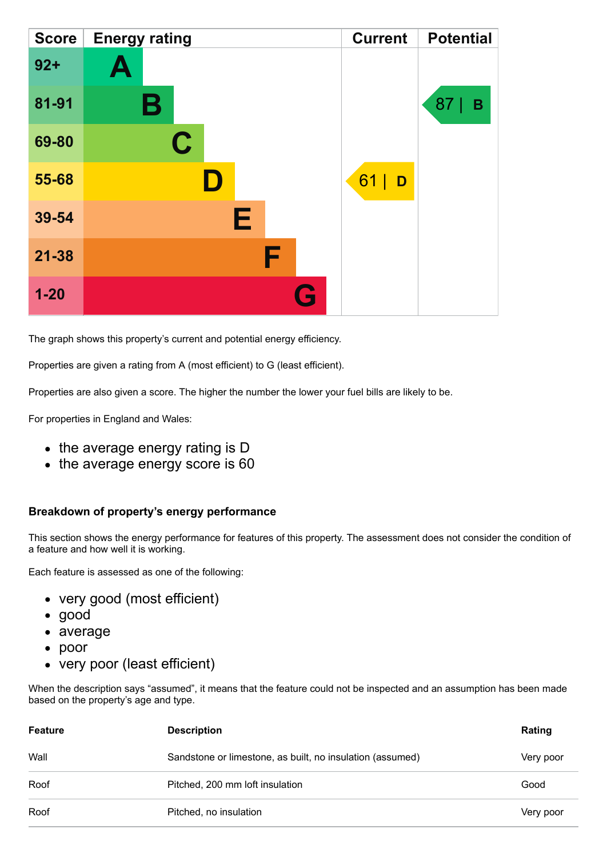| <b>Score</b> | <b>Energy rating</b> | <b>Current</b> | <b>Potential</b> |
|--------------|----------------------|----------------|------------------|
| $92 +$       | A                    |                |                  |
| 81-91        | В                    |                | 87<br>B          |
| 69-80        | $\mathbf C$          |                |                  |
| 55-68        |                      | 61<br>D        |                  |
| 39-54        | Е                    |                |                  |
| $21 - 38$    | F                    |                |                  |
| $1 - 20$     | Q                    |                |                  |

The graph shows this property's current and potential energy efficiency.

Properties are given a rating from A (most efficient) to G (least efficient).

Properties are also given a score. The higher the number the lower your fuel bills are likely to be.

For properties in England and Wales:

- the average energy rating is D
- the average energy score is 60

#### **Breakdown of property's energy performance**

This section shows the energy performance for features of this property. The assessment does not consider the condition of a feature and how well it is working.

Each feature is assessed as one of the following:

- very good (most efficient)
- good
- average
- poor
- very poor (least efficient)

When the description says "assumed", it means that the feature could not be inspected and an assumption has been made based on the property's age and type.

| <b>Feature</b> | <b>Description</b>                                        | Rating    |
|----------------|-----------------------------------------------------------|-----------|
| Wall           | Sandstone or limestone, as built, no insulation (assumed) | Very poor |
| Roof           | Pitched, 200 mm loft insulation                           | Good      |
| Roof           | Pitched, no insulation                                    | Very poor |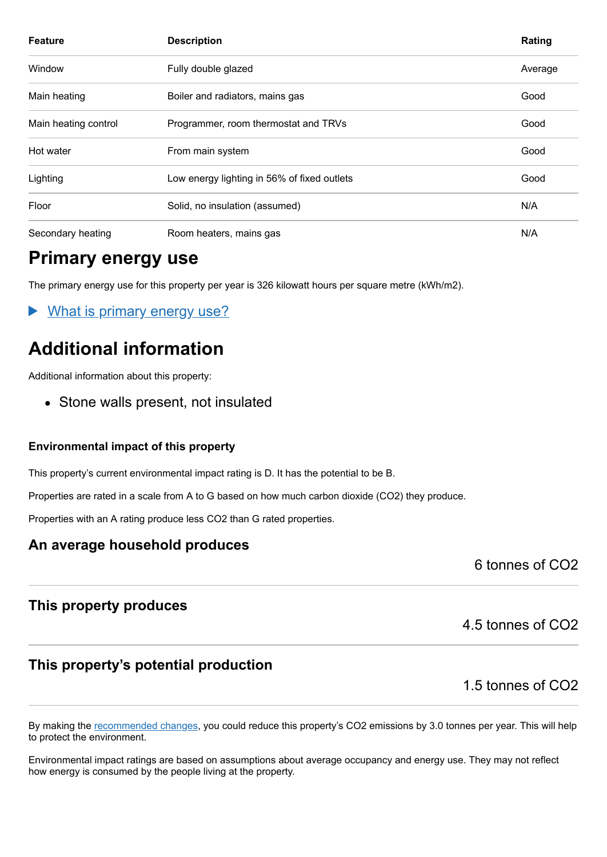| <b>Feature</b>       | <b>Description</b>                          | Rating  |
|----------------------|---------------------------------------------|---------|
| Window               | Fully double glazed                         | Average |
| Main heating         | Boiler and radiators, mains gas             | Good    |
| Main heating control | Programmer, room thermostat and TRVs        | Good    |
| Hot water            | From main system                            | Good    |
| Lighting             | Low energy lighting in 56% of fixed outlets | Good    |
| Floor                | Solid, no insulation (assumed)              | N/A     |
| Secondary heating    | Room heaters, mains gas                     | N/A     |

### **Primary energy use**

The primary energy use for this property per year is 326 kilowatt hours per square metre (kWh/m2).

What is primary energy use?

### **Additional information**

Additional information about this property:

• Stone walls present, not insulated

#### **Environmental impact of this property**

This property's current environmental impact rating is D. It has the potential to be B.

Properties are rated in a scale from A to G based on how much carbon dioxide (CO2) they produce.

Properties with an A rating produce less CO2 than G rated properties.

#### **An average household produces**

6 tonnes of CO2

#### **This property produces**

#### **This property's potential production**

1.5 tonnes of CO2

4.5 tonnes of CO2

By making the [recommended changes,](#page-3-0) you could reduce this property's CO2 emissions by 3.0 tonnes per year. This will help to protect the environment.

Environmental impact ratings are based on assumptions about average occupancy and energy use. They may not reflect how energy is consumed by the people living at the property.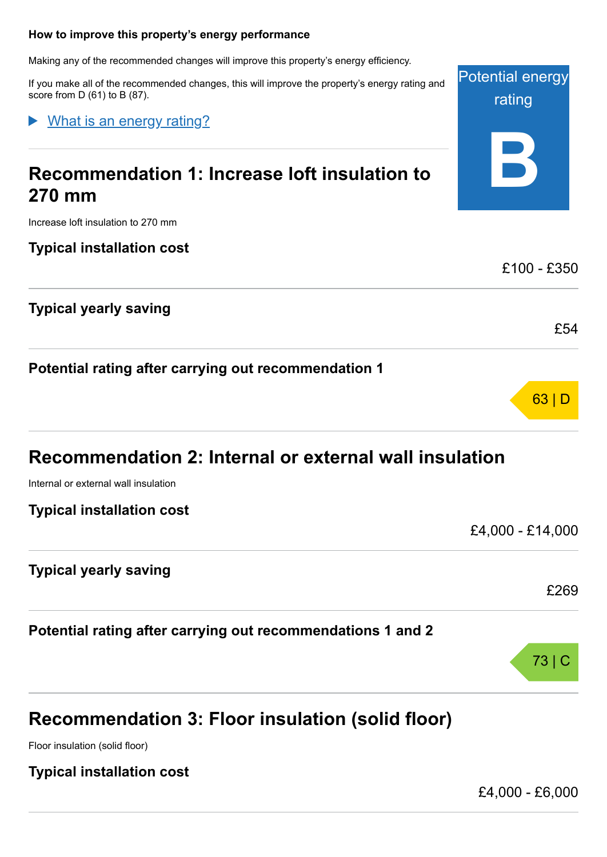#### <span id="page-3-0"></span>**How to improve this property's energy performance**

Making any of the recommended changes will improve this property's energy efficiency.

If you make all of the recommended changes, this will improve the property's energy rating and score from D (61) to B (87).

What is an energy rating?

### **Recommendation 1: Increase loft insulation to 270 mm**

Increase loft insulation to 270 mm

**Typical installation cost**

**Typical yearly saving**

**Potential rating after carrying out recommendation 1**

| Recommendation 2: Internal or external wall insulation |  |
|--------------------------------------------------------|--|
| Internal or external wall insulation                   |  |

**Typical installation cost**

£4,000 - £14,000

£269

73 | C

Potential energy

rating

**B**

£100 - £350

£54

63 | D

#### **Typical yearly saving**

**Potential rating after carrying out recommendations 1 and 2**

### **Recommendation 3: Floor insulation (solid floor)**

Floor insulation (solid floor)

**Typical installation cost**

£4,000 - £6,000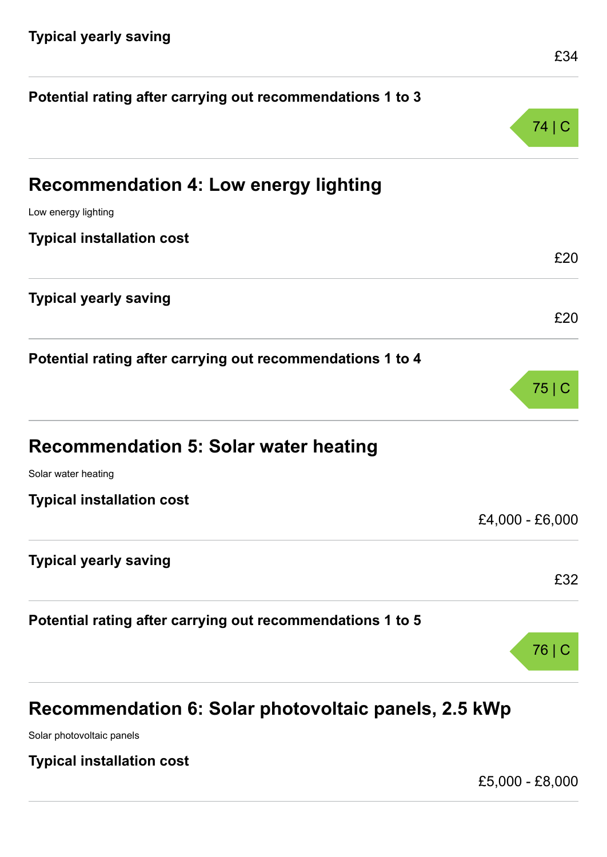| Potential rating after carrying out recommendations 1 to 3 |                 |
|------------------------------------------------------------|-----------------|
|                                                            | 74   C          |
| <b>Recommendation 4: Low energy lighting</b>               |                 |
| Low energy lighting                                        |                 |
| <b>Typical installation cost</b>                           |                 |
|                                                            | £20             |
| <b>Typical yearly saving</b>                               |                 |
|                                                            | £20             |
| Potential rating after carrying out recommendations 1 to 4 |                 |
|                                                            | $75$ C          |
|                                                            |                 |
| <b>Recommendation 5: Solar water heating</b>               |                 |
| Solar water heating                                        |                 |
| <b>Typical installation cost</b>                           |                 |
|                                                            | £4,000 - £6,000 |
| <b>Typical yearly saving</b>                               |                 |
|                                                            | £32             |
| Potential rating after carrying out recommendations 1 to 5 |                 |
|                                                            | 76              |
|                                                            |                 |
|                                                            |                 |

## **Recommendation 6: Solar photovoltaic panels, 2.5 kWp**

Solar photovoltaic panels

**Typical installation cost**

£5,000 - £8,000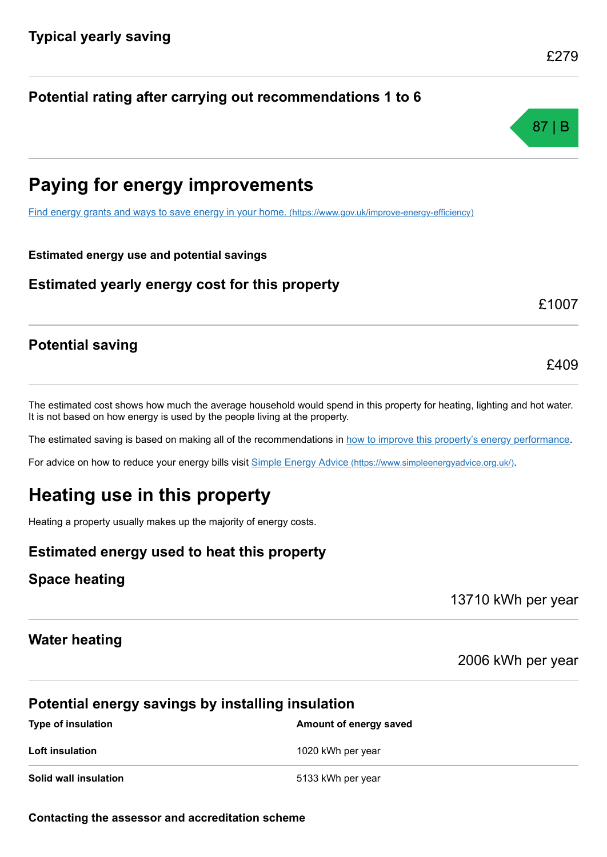**Paying for energy improvements**

**Potential rating after carrying out recommendations 1 to 6**

[Find energy grants and ways to save energy in your home.](https://www.gov.uk/improve-energy-efficiency) (https://www.gov.uk/improve-energy-efficiency)

**Estimated energy use and potential savings**

**Estimated yearly energy cost for this property**

#### **Potential saving**

The estimated cost shows how much the average household would spend in this property for heating, lighting and hot water. It is not based on how energy is used by the people living at the property.

The estimated saving is based on making all of the recommendations in [how to improve this property's energy performance.](#page-3-0)

For advice on how to reduce your energy bills visit Simple Energy Advice [\(https://www.simpleenergyadvice.org.uk/\)](https://www.simpleenergyadvice.org.uk/).

### **Heating use in this property**

Heating a property usually makes up the majority of energy costs.

### **Estimated energy used to heat this property**

#### **Space heating**

13710 kWh per year

#### **Water heating**

2006 kWh per year

#### **Potential energy savings by installing insulation**

| <b>Type of insulation</b> | Amount of energy saved |
|---------------------------|------------------------|
| Loft insulation           | 1020 kWh per year      |
| Solid wall insulation     | 5133 kWh per year      |



£409

£1007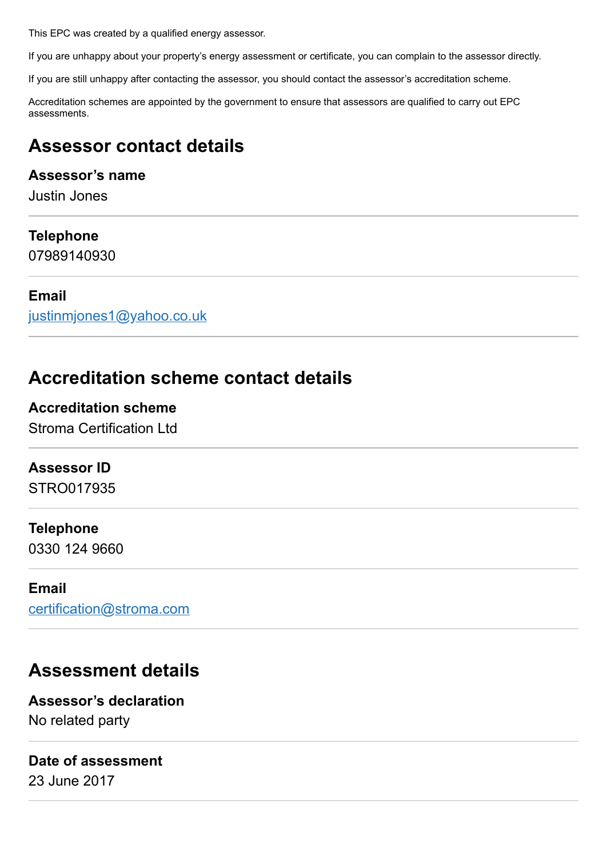This EPC was created by a qualified energy assessor.

If you are unhappy about your property's energy assessment or certificate, you can complain to the assessor directly.

If you are still unhappy after contacting the assessor, you should contact the assessor's accreditation scheme.

Accreditation schemes are appointed by the government to ensure that assessors are qualified to carry out EPC assessments.

### **Assessor contact details**

#### **Assessor's name**

Justin Jones

#### **Telephone**

07989140930

#### **Email**

[justinmjones1@yahoo.co.uk](mailto:justinmjones1@yahoo.co.uk)

### **Accreditation scheme contact details**

#### **Accreditation scheme**

Stroma Certification Ltd

#### **Assessor ID**

STRO017935

#### **Telephone**

0330 124 9660

#### **Email**

[certification@stroma.com](mailto:certification@stroma.com)

### **Assessment details**

**Assessor's declaration** No related party

#### **Date of assessment**

23 June 2017